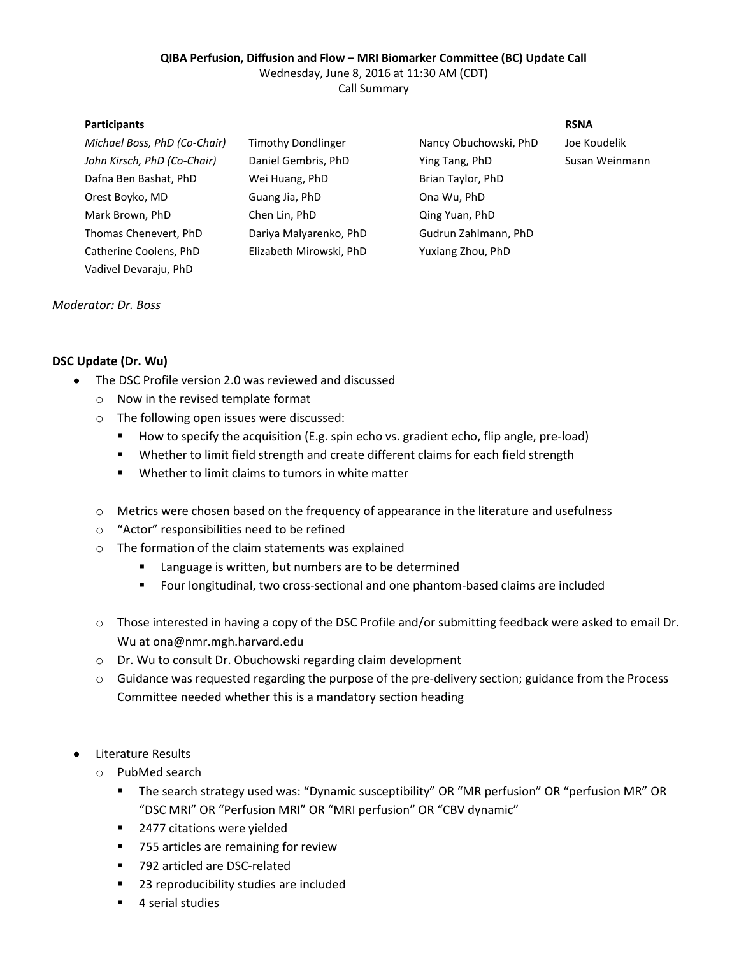## **QIBA Perfusion, Diffusion and Flow – MRI Biomarker Committee (BC) Update Call**

Wednesday, June 8, 2016 at 11:30 AM (CDT)

Call Summary

## **Participants RSNA**

| Michael Boss, PhD (Co-Chair) | <b>Timothy Dondlinger</b> | Nancy Obuchowski, PhD | Joe Koudelik   |
|------------------------------|---------------------------|-----------------------|----------------|
| John Kirsch, PhD (Co-Chair)  | Daniel Gembris, PhD       | Ying Tang, PhD        | Susan Weinmann |
| Dafna Ben Bashat, PhD        | Wei Huang, PhD            | Brian Taylor, PhD     |                |
| Orest Boyko, MD              | Guang Jia, PhD            | Ona Wu, PhD           |                |
| Mark Brown, PhD              | Chen Lin, PhD             | Qing Yuan, PhD        |                |
| Thomas Chenevert, PhD        | Dariya Malyarenko, PhD    | Gudrun Zahlmann, PhD  |                |
| Catherine Coolens, PhD       | Elizabeth Mirowski, PhD   | Yuxiang Zhou, PhD     |                |
| Vadivel Devaraju, PhD        |                           |                       |                |

*Moderator: Dr. Boss*

## **DSC Update (Dr. Wu)**

- $\bullet$ The DSC Profile version 2.0 was reviewed and discussed
	- o Now in the revised template format
	- o The following open issues were discussed:
		- How to specify the acquisition (E.g. spin echo vs. gradient echo, flip angle, pre-load)
		- **Whether to limit field strength and create different claims for each field strength**
		- Whether to limit claims to tumors in white matter
	- o Metrics were chosen based on the frequency of appearance in the literature and usefulness
	- o "Actor" responsibilities need to be refined
	- o The formation of the claim statements was explained
		- **EXTE:** Language is written, but numbers are to be determined
		- Four longitudinal, two cross-sectional and one phantom-based claims are included
	- o Those interested in having a copy of the DSC Profile and/or submitting feedback were asked to email Dr. Wu at ona@nmr.mgh.harvard.edu
	- o Dr. Wu to consult Dr. Obuchowski regarding claim development
	- $\circ$  Guidance was requested regarding the purpose of the pre-delivery section; guidance from the Process Committee needed whether this is a mandatory section heading
- Literature Results
	- o PubMed search
		- The search strategy used was: "Dynamic susceptibility" OR "MR perfusion" OR "perfusion MR" OR "DSC MRI" OR "Perfusion MRI" OR "MRI perfusion" OR "CBV dynamic"
		- 2477 citations were yielded
		- 755 articles are remaining for review
		- 792 articled are DSC-related
		- 23 reproducibility studies are included
		- 4 serial studies